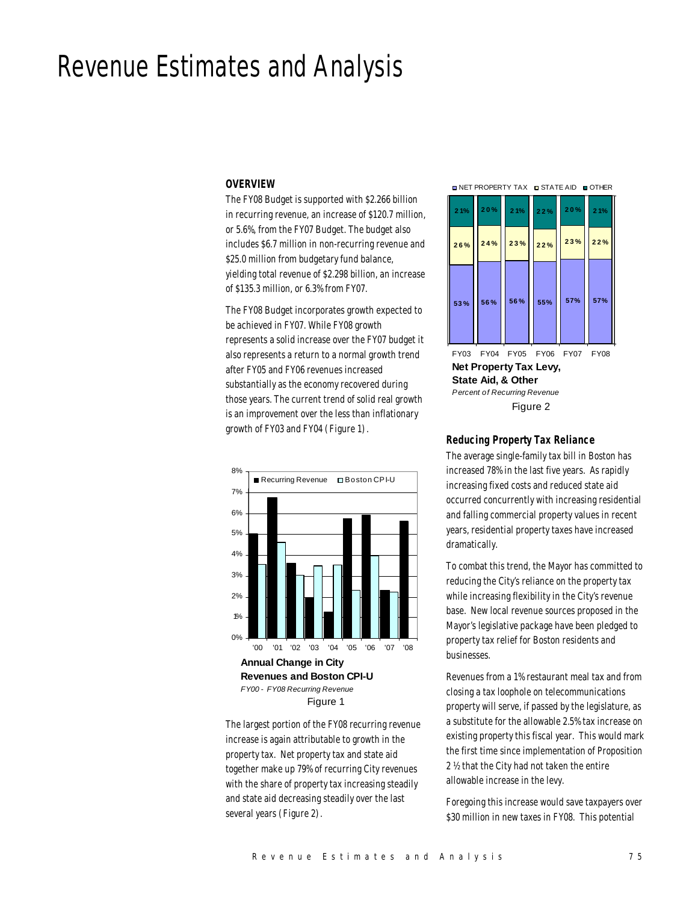# Revenue Estimates and Analysis

#### *OVERVIEW*

The FY08 Budget is supported with \$2.266 billion in recurring revenue, an increase of \$120.7 million, or 5.6%, from the FY07 Budget. The budget also includes \$6.7 million in non-recurring revenue and \$25.0 million from budgetary fund balance, yielding total revenue of \$2.298 billion, an increase of \$135.3 million, or 6.3% from FY07.

The FY08 Budget incorporates growth expected to be achieved in FY07. While FY08 growth represents a solid increase over the FY07 budget it also represents a return to a normal growth trend after FY05 and FY06 revenues increased substantially as the economy recovered during those years. The current trend of solid real growth is an improvement over the less than inflationary growth of FY03 and FY04 (Figure 1).



The largest portion of the FY08 recurring revenue increase is again attributable to growth in the property tax. Net property tax and state aid together make up 79% of recurring City revenues with the share of property tax increasing steadily and state aid decreasing steadily over the last several years (Figure 2).

**NET PROPERTY TAX IN STATE AID IN OTHER** 



**Net Property Tax Levy, State Aid, & Other** *Percent of Recurring Revenue* FY03 FY04 FY05 FY06 FY07 FY08 Figure 2

# *Reducing Property Tax Reliance*

The average single-family tax bill in Boston has increased 78% in the last five years. As rapidly increasing fixed costs and reduced state aid occurred concurrently with increasing residential and falling commercial property values in recent years, residential property taxes have increased dramatically.

To combat this trend, the Mayor has committed to reducing the City's reliance on the property tax while increasing flexibility in the City's revenue base. New local revenue sources proposed in the Mayor's legislative package have been pledged to property tax relief for Boston residents and businesses.

Revenues from a 1% restaurant meal tax and from closing a tax loophole on telecommunications property will serve, if passed by the legislature, as a substitute for the allowable 2.5% tax increase on existing property this fiscal year. This would mark the first time since implementation of Proposition 2 ½ that the City had not taken the entire allowable increase in the levy.

Foregoing this increase would save taxpayers over \$30 million in new taxes in FY08. This potential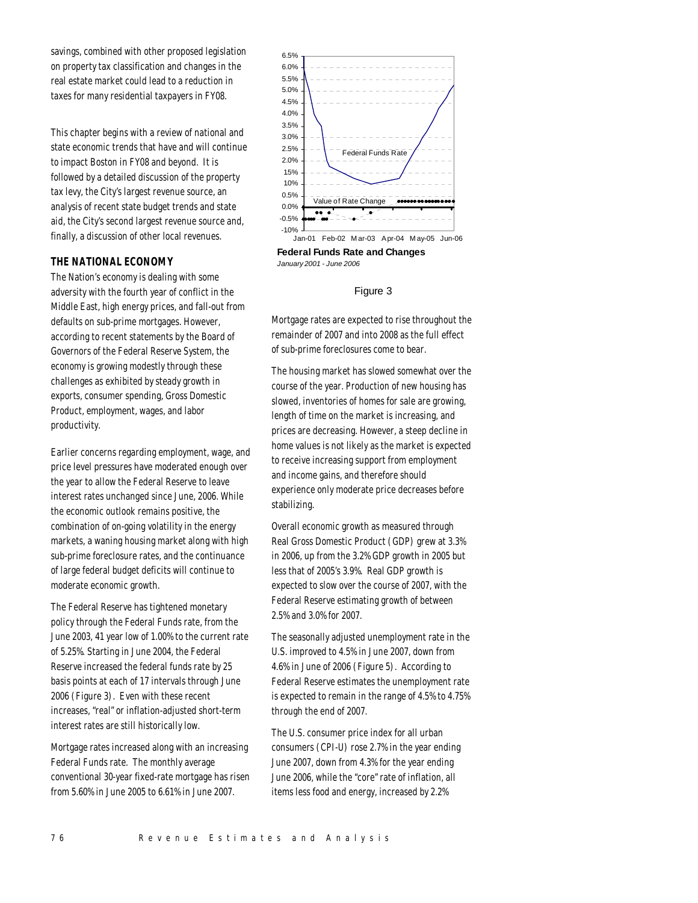savings, combined with other proposed legislation on property tax classification and changes in the real estate market could lead to a reduction in taxes for many residential taxpayers in FY08.

This chapter begins with a review of national and state economic trends that have and will continue to impact Boston in FY08 and beyond. It is followed by a detailed discussion of the property tax levy, the City's largest revenue source, an analysis of recent state budget trends and state aid, the City's second largest revenue source and, finally, a discussion of other local revenues.

# *THE NATIONAL ECONOMY*

The Nation's economy is dealing with some adversity with the fourth year of conflict in the Middle East, high energy prices, and fall-out from defaults on sub-prime mortgages. However, according to recent statements by the Board of Governors of the Federal Reserve System, the economy is growing modestly through these challenges as exhibited by steady growth in exports, consumer spending, Gross Domestic Product, employment, wages, and labor productivity.

Earlier concerns regarding employment, wage, and price level pressures have moderated enough over the year to allow the Federal Reserve to leave interest rates unchanged since June, 2006. While the economic outlook remains positive, the combination of on-going volatility in the energy markets, a waning housing market along with high sub-prime foreclosure rates, and the continuance of large federal budget deficits will continue to moderate economic growth.

The Federal Reserve has tightened monetary policy through the Federal Funds rate, from the June 2003, 41 year low of 1.00% to the current rate of 5.25%. Starting in June 2004, the Federal Reserve increased the federal funds rate by 25 basis points at each of 17 intervals through June 2006 (Figure 3). Even with these recent increases, "real" or inflation-adjusted short-term interest rates are still historically low.

Mortgage rates increased along with an increasing Federal Funds rate. The monthly average conventional 30-year fixed-rate mortgage has risen from 5.60% in June 2005 to 6.61% in June 2007.



**Federal Funds Rate and Changes**  *January 2001 - June 2006*

#### Figure 3

Mortgage rates are expected to rise throughout the remainder of 2007 and into 2008 as the full effect of sub-prime foreclosures come to bear.

The housing market has slowed somewhat over the course of the year. Production of new housing has slowed, inventories of homes for sale are growing, length of time on the market is increasing, and prices are decreasing. However, a steep decline in home values is not likely as the market is expected to receive increasing support from employment and income gains, and therefore should experience only moderate price decreases before stabilizing.

Overall economic growth as measured through Real Gross Domestic Product (GDP) grew at 3.3% in 2006, up from the 3.2% GDP growth in 2005 but less that of 2005's 3.9%. Real GDP growth is expected to slow over the course of 2007, with the Federal Reserve estimating growth of between 2.5% and 3.0% for 2007.

The seasonally adjusted unemployment rate in the U.S. improved to 4.5% in June 2007, down from 4.6% in June of 2006 (Figure 5). According to Federal Reserve estimates the unemployment rate is expected to remain in the range of 4.5% to 4.75% through the end of 2007.

The U.S. consumer price index for all urban consumers (CPI-U) rose 2.7% in the year ending June 2007, down from 4.3% for the year ending June 2006, while the "core" rate of inflation, all items less food and energy, increased by 2.2%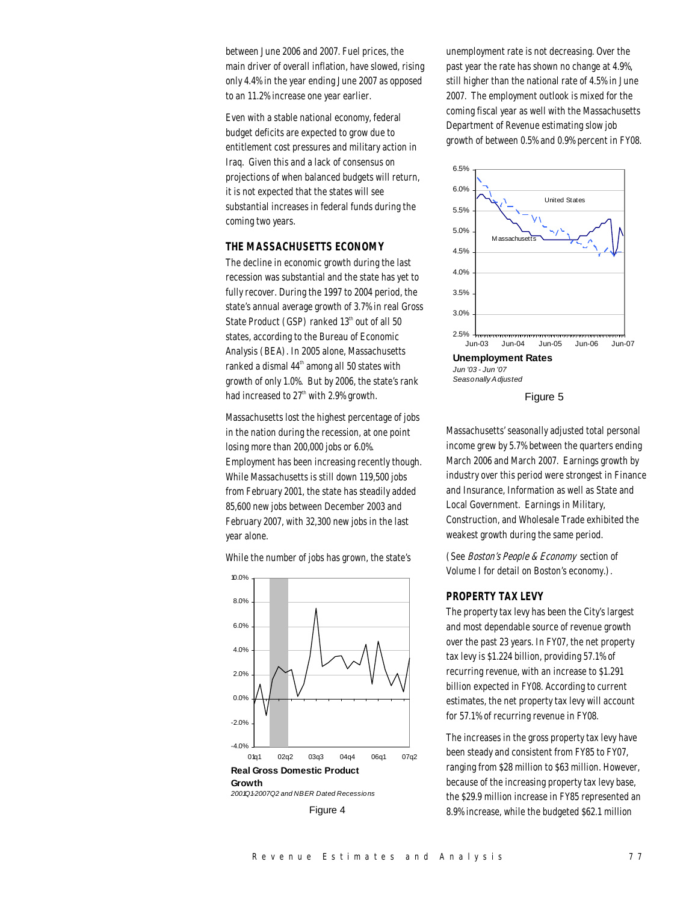between June 2006 and 2007. Fuel prices, the main driver of overall inflation, have slowed, rising only 4.4% in the year ending June 2007 as opposed to an 11.2% increase one year earlier.

Even with a stable national economy, federal budget deficits are expected to grow due to entitlement cost pressures and military action in Iraq. Given this and a lack of consensus on projections of when balanced budgets will return, it is not expected that the states will see substantial increases in federal funds during the coming two years.

#### *THE MASSACHUSETTS ECONOMY*

The decline in economic growth during the last recession was substantial and the state has yet to fully recover. During the 1997 to 2004 period, the state's annual average growth of 3.7% in real Gross State Product (GSP) ranked  $13<sup>th</sup>$  out of all 50 states, according to the Bureau of Economic Analysis (BEA). In 2005 alone, Massachusetts ranked a dismal 44<sup>th</sup> among all 50 states with growth of only 1.0%. But by 2006, the state's rank had increased to 27<sup>th</sup> with 2.9% growth.

Massachusetts lost the highest percentage of jobs in the nation during the recession, at one point losing more than 200,000 jobs or 6.0%. Employment has been increasing recently though. While Massachusetts is still down 119,500 jobs from February 2001, the state has steadily added 85,600 new jobs between December 2003 and February 2007, with 32,300 new jobs in the last year alone.

While the number of jobs has grown, the state's

**Real Gross Domestic Product Growth** *2001Q1-2007Q2 and NBER Dated Recessions*  $-4.0%$ -2.0% 0.0% 2.0% 4.0% 6.0% 8.0% 10.0% 01q1 02q2 03q3 04q4 06q1 07q2

Figure 4

unemployment rate is not decreasing. Over the past year the rate has shown no change at 4.9%, still higher than the national rate of 4.5% in June 2007. The employment outlook is mixed for the coming fiscal year as well with the Massachusetts Department of Revenue estimating slow job growth of between 0.5% and 0.9% percent in FY08.



Figure 5

Massachusetts' seasonally adjusted total personal income grew by 5.7% between the quarters ending March 2006 and March 2007. Earnings growth by industry over this period were strongest in Finance and Insurance, Information as well as State and Local Government. Earnings in Military, Construction, and Wholesale Trade exhibited the weakest growth during the same period.

(See Boston's People & Economy section of Volume I for detail on Boston's economy.).

# *PROPERTY TAX LEVY*

The property tax levy has been the City's largest and most dependable source of revenue growth over the past 23 years. In FY07, the net property tax levy is \$1.224 billion, providing 57.1% of recurring revenue, with an increase to \$1.291 billion expected in FY08. According to current estimates, the net property tax levy will account for 57.1% of recurring revenue in FY08.

The increases in the gross property tax levy have been steady and consistent from FY85 to FY07, ranging from \$28 million to \$63 million. However, because of the increasing property tax levy base, the \$29.9 million increase in FY85 represented an 8.9% increase, while the budgeted \$62.1 million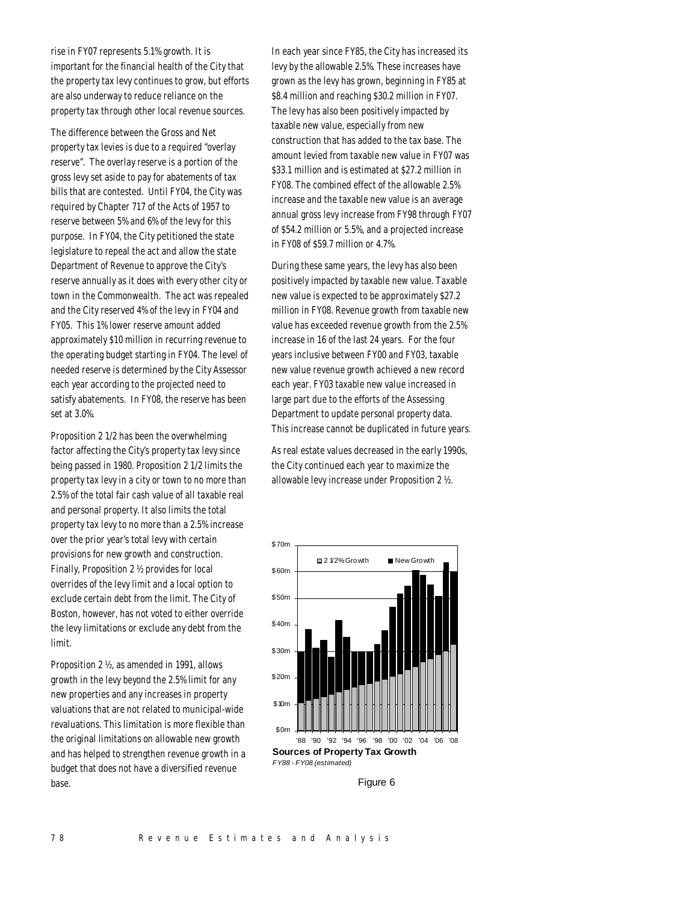rise in FY07 represents 5.1% growth. It is important for the financial health of the City that the property tax levy continues to grow, but efforts are also underway to reduce reliance on the property tax through other local revenue sources.

The difference between the Gross and Net property tax levies is due to a required "overlay reserve". The overlay reserve is a portion of the gross levy set aside to pay for abatements of tax bills that are contested. Until FY04, the City was required by Chapter 717 of the Acts of 1957 to reserve between 5% and 6% of the levy for this purpose. In FY04, the City petitioned the state legislature to repeal the act and allow the state Department of Revenue to approve the City's reserve annually as it does with every other city or town in the Commonwealth. The act was repealed and the City reserved 4% of the levy in FY04 and FY05. This 1% lower reserve amount added approximately \$10 million in recurring revenue to the operating budget starting in FY04. The level of needed reserve is determined by the City Assessor each year according to the projected need to satisfy abatements. In FY08, the reserve has been set at 3.0%.

Proposition 2 1/2 has been the overwhelming factor affecting the City's property tax levy since being passed in 1980. Proposition 2 1/2 limits the property tax levy in a city or town to no more than 2.5% of the total fair cash value of all taxable real and personal property. It also limits the total property tax levy to no more than a 2.5% increase over the prior year's total levy with certain provisions for new growth and construction. Finally, Proposition 2 ½ provides for local overrides of the levy limit and a local option to exclude certain debt from the limit. The City of Boston, however, has not voted to either override the levy limitations or exclude any debt from the limit.

Proposition 2 ½, as amended in 1991, allows growth in the levy beyond the 2.5% limit for any new properties and any increases in property valuations that are not related to municipal-wide revaluations. This limitation is more flexible than the original limitations on allowable new growth and has helped to strengthen revenue growth in a budget that does not have a diversified revenue base.

In each year since FY85, the City has increased its levy by the allowable 2.5%. These increases have grown as the levy has grown, beginning in FY85 at \$8.4 million and reaching \$30.2 million in FY07. The levy has also been positively impacted by taxable new value, especially from new construction that has added to the tax base. The amount levied from taxable new value in FY07 was \$33.1 million and is estimated at \$27.2 million in FY08. The combined effect of the allowable 2.5% increase and the taxable new value is an average annual gross levy increase from FY98 through FY07 of \$54.2 million or 5.5%, and a projected increase in FY08 of \$59.7 million or 4.7%.

During these same years, the levy has also been positively impacted by taxable new value. Taxable new value is expected to be approximately \$27.2 million in FY08. Revenue growth from taxable new value has exceeded revenue growth from the 2.5% increase in 16 of the last 24 years. For the four years inclusive between FY00 and FY03, taxable new value revenue growth achieved a new record each year. FY03 taxable new value increased in large part due to the efforts of the Assessing Department to update personal property data. This increase cannot be duplicated in future years.

As real estate values decreased in the early 1990s, the City continued each year to maximize the allowable levy increase under Proposition 2 ½.



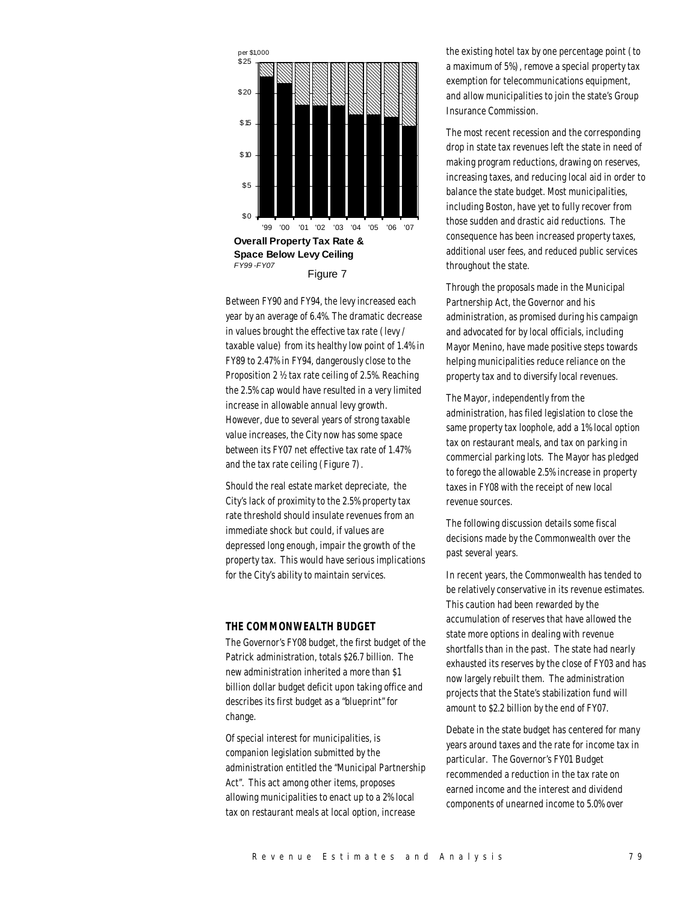

Between FY90 and FY94, the levy increased each year by an average of 6.4%. The dramatic decrease in values brought the effective tax rate (levy / taxable value) from its healthy low point of 1.4% in FY89 to 2.47% in FY94, dangerously close to the Proposition 2 ½ tax rate ceiling of 2.5%. Reaching the 2.5% cap would have resulted in a very limited increase in allowable annual levy growth. However, due to several years of strong taxable value increases, the City now has some space between its FY07 net effective tax rate of 1.47% and the tax rate ceiling (Figure 7).

Should the real estate market depreciate, the City's lack of proximity to the 2.5% property tax rate threshold should insulate revenues from an immediate shock but could, if values are depressed long enough, impair the growth of the property tax. This would have serious implications for the City's ability to maintain services.

# *THE COMMONWEALTH BUDGET*

The Governor's FY08 budget, the first budget of the Patrick administration, totals \$26.7 billion. The new administration inherited a more than \$1 billion dollar budget deficit upon taking office and describes its first budget as a "blueprint" for change.

Of special interest for municipalities, is companion legislation submitted by the administration entitled the "Municipal Partnership Act". This act among other items, proposes allowing municipalities to enact up to a 2% local tax on restaurant meals at local option, increase

the existing hotel tax by one percentage point (to a maximum of 5%), remove a special property tax exemption for telecommunications equipment, and allow municipalities to join the state's Group Insurance Commission.

The most recent recession and the corresponding drop in state tax revenues left the state in need of making program reductions, drawing on reserves, increasing taxes, and reducing local aid in order to balance the state budget. Most municipalities, including Boston, have yet to fully recover from those sudden and drastic aid reductions. The consequence has been increased property taxes, additional user fees, and reduced public services throughout the state.

Through the proposals made in the Municipal Partnership Act, the Governor and his administration, as promised during his campaign and advocated for by local officials, including Mayor Menino, have made positive steps towards helping municipalities reduce reliance on the property tax and to diversify local revenues.

The Mayor, independently from the administration, has filed legislation to close the same property tax loophole, add a 1% local option tax on restaurant meals, and tax on parking in commercial parking lots. The Mayor has pledged to forego the allowable 2.5% increase in property taxes in FY08 with the receipt of new local revenue sources.

The following discussion details some fiscal decisions made by the Commonwealth over the past several years.

In recent years, the Commonwealth has tended to be relatively conservative in its revenue estimates. This caution had been rewarded by the accumulation of reserves that have allowed the state more options in dealing with revenue shortfalls than in the past. The state had nearly exhausted its reserves by the close of FY03 and has now largely rebuilt them. The administration projects that the State's stabilization fund will amount to \$2.2 billion by the end of FY07.

Debate in the state budget has centered for many years around taxes and the rate for income tax in particular. The Governor's FY01 Budget recommended a reduction in the tax rate on earned income and the interest and dividend components of unearned income to 5.0% over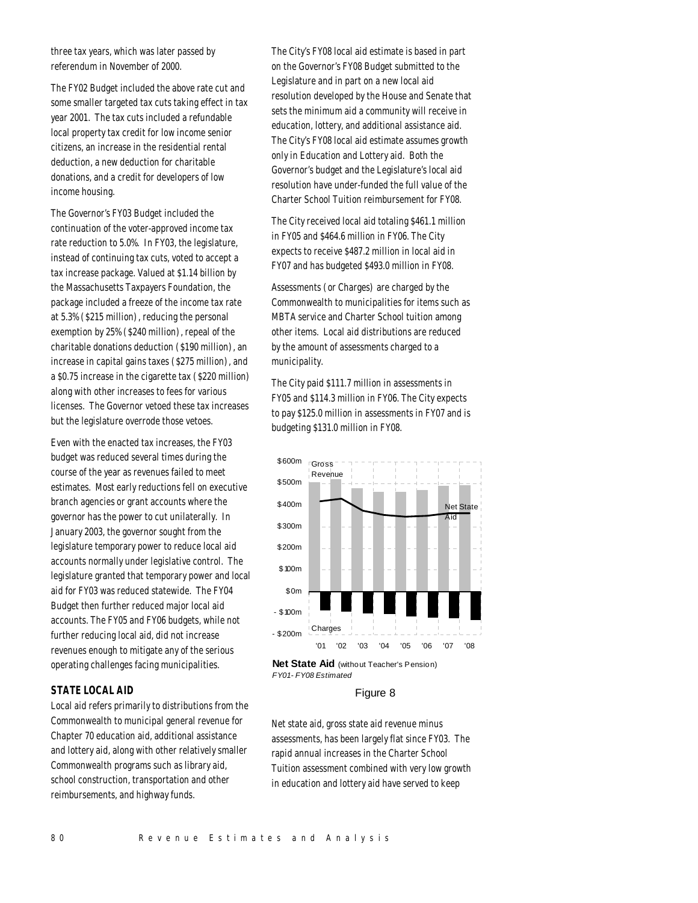three tax years, which was later passed by referendum in November of 2000.

The FY02 Budget included the above rate cut and some smaller targeted tax cuts taking effect in tax year 2001. The tax cuts included a refundable local property tax credit for low income senior citizens, an increase in the residential rental deduction, a new deduction for charitable donations, and a credit for developers of low income housing.

The Governor's FY03 Budget included the continuation of the voter-approved income tax rate reduction to 5.0%. In FY03, the legislature, instead of continuing tax cuts, voted to accept a tax increase package. Valued at \$1.14 billion by the Massachusetts Taxpayers Foundation, the package included a freeze of the income tax rate at 5.3% (\$215 million), reducing the personal exemption by 25% (\$240 million), repeal of the charitable donations deduction (\$190 million), an increase in capital gains taxes (\$275 million), and a \$0.75 increase in the cigarette tax (\$220 million) along with other increases to fees for various licenses. The Governor vetoed these tax increases but the legislature overrode those vetoes.

Even with the enacted tax increases, the FY03 budget was reduced several times during the course of the year as revenues failed to meet estimates. Most early reductions fell on executive branch agencies or grant accounts where the governor has the power to cut unilaterally. In January 2003, the governor sought from the legislature temporary power to reduce local aid accounts normally under legislative control. The legislature granted that temporary power and local aid for FY03 was reduced statewide. The FY04 Budget then further reduced major local aid accounts. The FY05 and FY06 budgets, while not further reducing local aid, did not increase revenues enough to mitigate any of the serious operating challenges facing municipalities.

# *STATE LOCAL AID*

Local aid refers primarily to distributions from the Commonwealth to municipal general revenue for Chapter 70 education aid, additional assistance and lottery aid, along with other relatively smaller Commonwealth programs such as library aid, school construction, transportation and other reimbursements, and highway funds.

The City's FY08 local aid estimate is based in part on the Governor's FY08 Budget submitted to the Legislature and in part on a new local aid resolution developed by the House and Senate that sets the minimum aid a community will receive in education, lottery, and additional assistance aid. The City's FY08 local aid estimate assumes growth only in Education and Lottery aid. Both the Governor's budget and the Legislature's local aid resolution have under-funded the full value of the Charter School Tuition reimbursement for FY08.

The City received local aid totaling \$461.1 million in FY05 and \$464.6 million in FY06. The City expects to receive \$487.2 million in local aid in FY07 and has budgeted \$493.0 million in FY08.

Assessments (or Charges) are charged by the Commonwealth to municipalities for items such as MBTA service and Charter School tuition among other items. Local aid distributions are reduced by the amount of assessments charged to a municipality.

The City paid \$111.7 million in assessments in FY05 and \$114.3 million in FY06. The City expects to pay \$125.0 million in assessments in FY07 and is budgeting \$131.0 million in FY08.



**Net State Aid** (without Teacher's Pension) *FY01 - FY08 Estimated*

#### Figure 8

Net state aid, gross state aid revenue minus assessments, has been largely flat since FY03. The rapid annual increases in the Charter School Tuition assessment combined with very low growth in education and lottery aid have served to keep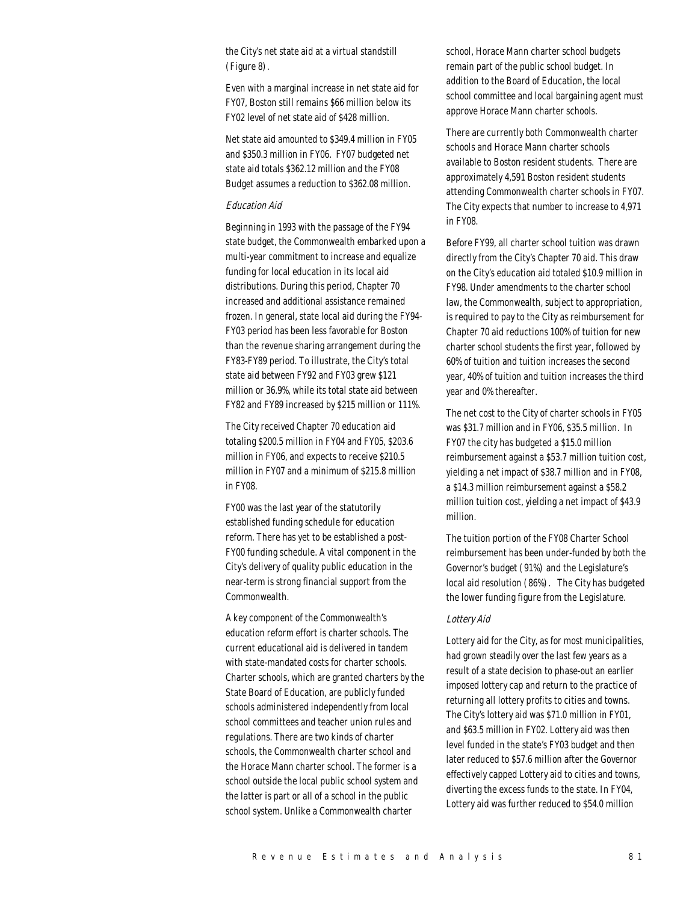the City's net state aid at a virtual standstill (Figure 8).

Even with a marginal increase in net state aid for FY07, Boston still remains \$66 million below its FY02 level of net state aid of \$428 million.

Net state aid amounted to \$349.4 million in FY05 and \$350.3 million in FY06. FY07 budgeted net state aid totals \$362.12 million and the FY08 Budget assumes a reduction to \$362.08 million.

# Education Aid

Beginning in 1993 with the passage of the FY94 state budget, the Commonwealth embarked upon a multi-year commitment to increase and equalize funding for local education in its local aid distributions. During this period, Chapter 70 increased and additional assistance remained frozen. In general, state local aid during the FY94- FY03 period has been less favorable for Boston than the revenue sharing arrangement during the FY83-FY89 period. To illustrate, the City's total state aid between FY92 and FY03 grew \$121 million or 36.9%, while its total state aid between FY82 and FY89 increased by \$215 million or 111%.

The City received Chapter 70 education aid totaling \$200.5 million in FY04 and FY05, \$203.6 million in FY06, and expects to receive \$210.5 million in FY07 and a minimum of \$215.8 million in FY08.

FY00 was the last year of the statutorily established funding schedule for education reform. There has yet to be established a post-FY00 funding schedule. A vital component in the City's delivery of quality public education in the near-term is strong financial support from the Commonwealth.

A key component of the Commonwealth's education reform effort is charter schools. The current educational aid is delivered in tandem with state-mandated costs for charter schools. Charter schools, which are granted charters by the State Board of Education, are publicly funded schools administered independently from local school committees and teacher union rules and regulations. There are two kinds of charter schools, the Commonwealth charter school and the Horace Mann charter school. The former is a school outside the local public school system and the latter is part or all of a school in the public school system. Unlike a Commonwealth charter

school, Horace Mann charter school budgets remain part of the public school budget. In addition to the Board of Education, the local school committee and local bargaining agent must approve Horace Mann charter schools.

There are currently both Commonwealth charter schools and Horace Mann charter schools available to Boston resident students. There are approximately 4,591 Boston resident students attending Commonwealth charter schools in FY07. The City expects that number to increase to 4,971 in FY08.

Before FY99, all charter school tuition was drawn directly from the City's Chapter 70 aid. This draw on the City's education aid totaled \$10.9 million in FY98. Under amendments to the charter school law, the Commonwealth, subject to appropriation, is required to pay to the City as reimbursement for Chapter 70 aid reductions 100% of tuition for new charter school students the first year, followed by 60% of tuition and tuition increases the second year, 40% of tuition and tuition increases the third year and 0% thereafter.

The net cost to the City of charter schools in FY05 was \$31.7 million and in FY06, \$35.5 million. In FY07 the city has budgeted a \$15.0 million reimbursement against a \$53.7 million tuition cost, yielding a net impact of \$38.7 million and in FY08, a \$14.3 million reimbursement against a \$58.2 million tuition cost, yielding a net impact of \$43.9 million.

The tuition portion of the FY08 Charter School reimbursement has been under-funded by both the Governor's budget (91%) and the Legislature's local aid resolution (86%). The City has budgeted the lower funding figure from the Legislature.

### Lottery Aid

Lottery aid for the City, as for most municipalities, had grown steadily over the last few years as a result of a state decision to phase-out an earlier imposed lottery cap and return to the practice of returning all lottery profits to cities and towns. The City's lottery aid was \$71.0 million in FY01, and \$63.5 million in FY02. Lottery aid was then level funded in the state's FY03 budget and then later reduced to \$57.6 million after the Governor effectively capped Lottery aid to cities and towns, diverting the excess funds to the state. In FY04, Lottery aid was further reduced to \$54.0 million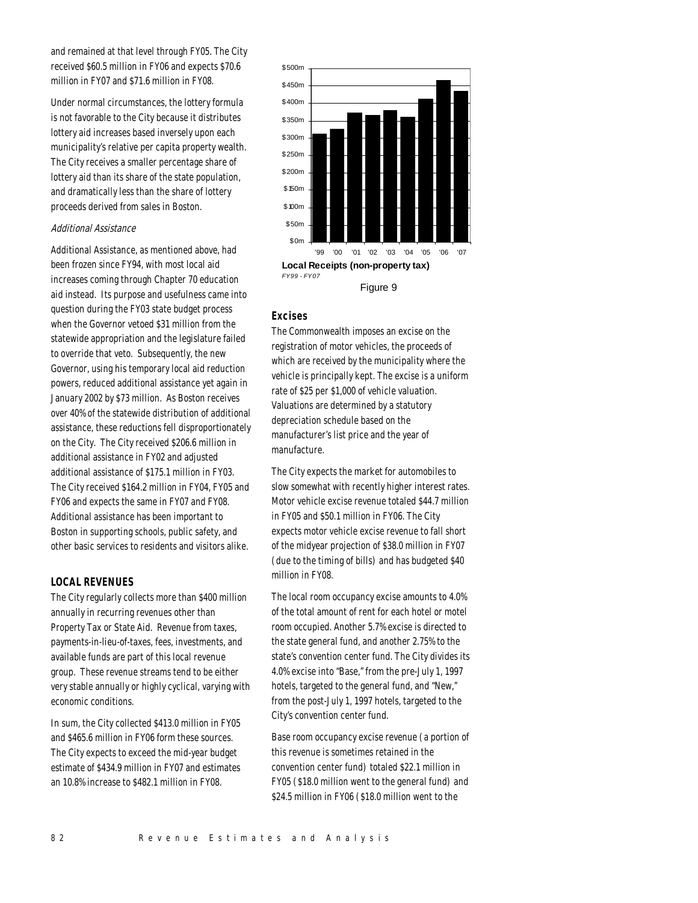and remained at that level through FY05. The City received \$60.5 million in FY06 and expects \$70.6 million in FY07 and \$71.6 million in FY08.

Under normal circumstances, the lottery formula is not favorable to the City because it distributes lottery aid increases based inversely upon each municipality's relative per capita property wealth. The City receives a smaller percentage share of lottery aid than its share of the state population, and dramatically less than the share of lottery proceeds derived from sales in Boston.

# Additional Assistance

Additional Assistance, as mentioned above, had been frozen since FY94, with most local aid increases coming through Chapter 70 education aid instead. Its purpose and usefulness came into question during the FY03 state budget process when the Governor vetoed \$31 million from the statewide appropriation and the legislature failed to override that veto. Subsequently, the new Governor, using his temporary local aid reduction powers, reduced additional assistance yet again in January 2002 by \$73 million. As Boston receives over 40% of the statewide distribution of additional assistance, these reductions fell disproportionately on the City. The City received \$206.6 million in additional assistance in FY02 and adjusted additional assistance of \$175.1 million in FY03. The City received \$164.2 million in FY04, FY05 and FY06 and expects the same in FY07 and FY08. Additional assistance has been important to Boston in supporting schools, public safety, and other basic services to residents and visitors alike.

# *LOCAL REVENUES*

The City regularly collects more than \$400 million annually in recurring revenues other than Property Tax or State Aid. Revenue from taxes, payments-in-lieu-of-taxes, fees, investments, and available funds are part of this local revenue group. These revenue streams tend to be either very stable annually or highly cyclical, varying with economic conditions.

In sum, the City collected \$413.0 million in FY05 and \$465.6 million in FY06 form these sources. The City expects to exceed the mid-year budget estimate of \$434.9 million in FY07 and estimates an 10.8% increase to \$482.1 million in FY08.



#### *Excises*

The Commonwealth imposes an excise on the registration of motor vehicles, the proceeds of which are received by the municipality where the vehicle is principally kept. The excise is a uniform rate of \$25 per \$1,000 of vehicle valuation. Valuations are determined by a statutory depreciation schedule based on the manufacturer's list price and the year of manufacture.

The City expects the market for automobiles to slow somewhat with recently higher interest rates. Motor vehicle excise revenue totaled \$44.7 million in FY05 and \$50.1 million in FY06. The City expects motor vehicle excise revenue to fall short of the midyear projection of \$38.0 million in FY07 (due to the timing of bills) and has budgeted \$40 million in FY08.

The local room occupancy excise amounts to 4.0% of the total amount of rent for each hotel or motel room occupied. Another 5.7% excise is directed to the state general fund, and another 2.75% to the state's convention center fund. The City divides its 4.0% excise into "Base," from the pre-July 1, 1997 hotels, targeted to the general fund, and "New," from the post-July 1, 1997 hotels, targeted to the City's convention center fund.

Base room occupancy excise revenue (a portion of this revenue is sometimes retained in the convention center fund) totaled \$22.1 million in FY05 (\$18.0 million went to the general fund) and \$24.5 million in FY06 (\$18.0 million went to the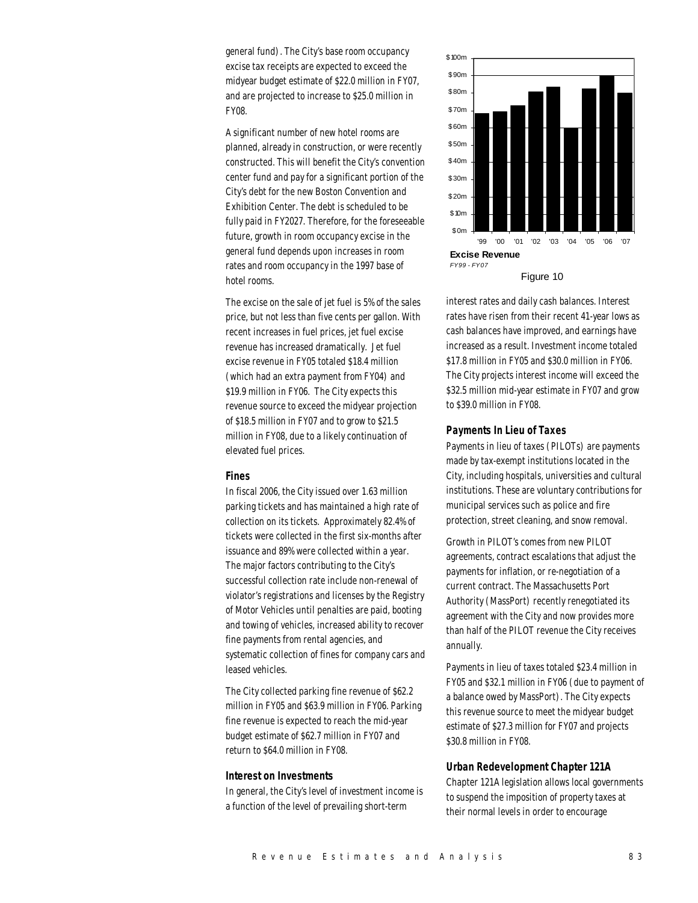general fund). The City's base room occupancy excise tax receipts are expected to exceed the midyear budget estimate of \$22.0 million in FY07, and are projected to increase to \$25.0 million in FY08.

A significant number of new hotel rooms are planned, already in construction, or were recently constructed. This will benefit the City's convention center fund and pay for a significant portion of the City's debt for the new Boston Convention and Exhibition Center. The debt is scheduled to be fully paid in FY2027. Therefore, for the foreseeable future, growth in room occupancy excise in the general fund depends upon increases in room rates and room occupancy in the 1997 base of hotel rooms.

The excise on the sale of jet fuel is 5% of the sales price, but not less than five cents per gallon. With recent increases in fuel prices, jet fuel excise revenue has increased dramatically. Jet fuel excise revenue in FY05 totaled \$18.4 million (which had an extra payment from FY04) and \$19.9 million in FY06. The City expects this revenue source to exceed the midyear projection of \$18.5 million in FY07 and to grow to \$21.5 million in FY08, due to a likely continuation of elevated fuel prices.

#### *Fines*

In fiscal 2006, the City issued over 1.63 million parking tickets and has maintained a high rate of collection on its tickets. Approximately 82.4% of tickets were collected in the first six-months after issuance and 89% were collected within a year. The major factors contributing to the City's successful collection rate include non-renewal of violator's registrations and licenses by the Registry of Motor Vehicles until penalties are paid, booting and towing of vehicles, increased ability to recover fine payments from rental agencies, and systematic collection of fines for company cars and leased vehicles.

The City collected parking fine revenue of \$62.2 million in FY05 and \$63.9 million in FY06. Parking fine revenue is expected to reach the mid-year budget estimate of \$62.7 million in FY07 and return to \$64.0 million in FY08.

#### *Interest on Investments*

In general, the City's level of investment income is a function of the level of prevailing short-term



interest rates and daily cash balances. Interest rates have risen from their recent 41-year lows as cash balances have improved, and earnings have increased as a result. Investment income totaled \$17.8 million in FY05 and \$30.0 million in FY06. The City projects interest income will exceed the \$32.5 million mid-year estimate in FY07 and grow to \$39.0 million in FY08.

#### *Payments In Lieu of Taxes*

Payments in lieu of taxes (PILOTs) are payments made by tax-exempt institutions located in the City, including hospitals, universities and cultural institutions. These are voluntary contributions for municipal services such as police and fire protection, street cleaning, and snow removal.

Growth in PILOT's comes from new PILOT agreements, contract escalations that adjust the payments for inflation, or re-negotiation of a current contract. The Massachusetts Port Authority (MassPort) recently renegotiated its agreement with the City and now provides more than half of the PILOT revenue the City receives annually.

Payments in lieu of taxes totaled \$23.4 million in FY05 and \$32.1 million in FY06 (due to payment of a balance owed by MassPort). The City expects this revenue source to meet the midyear budget estimate of \$27.3 million for FY07 and projects \$30.8 million in FY08.

#### *Urban Redevelopment Chapter 121A*

Chapter 121A legislation allows local governments to suspend the imposition of property taxes at their normal levels in order to encourage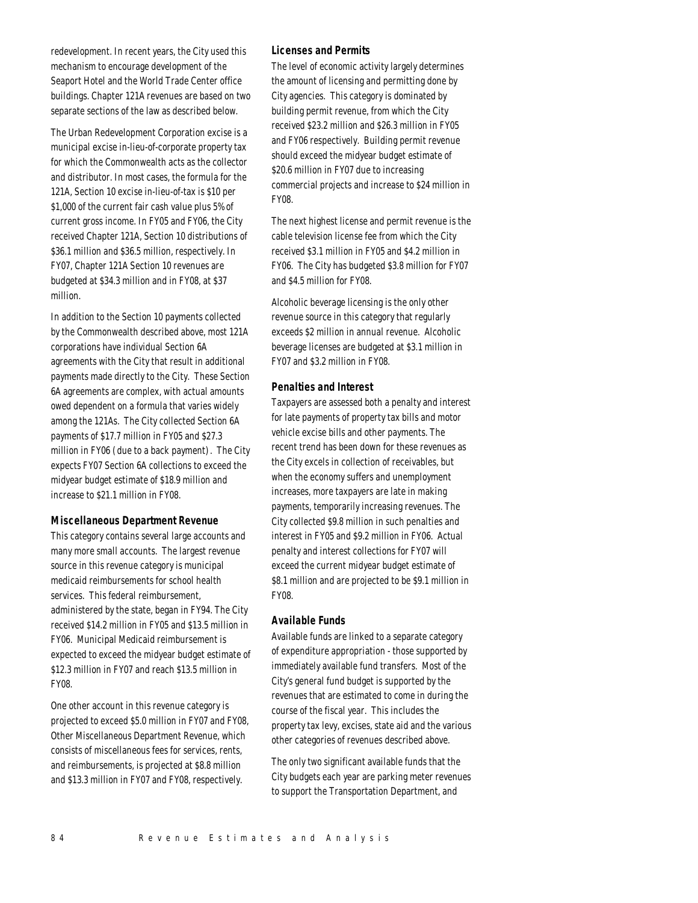redevelopment. In recent years, the City used this mechanism to encourage development of the Seaport Hotel and the World Trade Center office buildings. Chapter 121A revenues are based on two separate sections of the law as described below.

The Urban Redevelopment Corporation excise is a municipal excise in-lieu-of-corporate property tax for which the Commonwealth acts as the collector and distributor. In most cases, the formula for the 121A, Section 10 excise in-lieu-of-tax is \$10 per \$1,000 of the current fair cash value plus 5% of current gross income. In FY05 and FY06, the City received Chapter 121A, Section 10 distributions of \$36.1 million and \$36.5 million, respectively. In FY07, Chapter 121A Section 10 revenues are budgeted at \$34.3 million and in FY08, at \$37 million.

In addition to the Section 10 payments collected by the Commonwealth described above, most 121A corporations have individual Section 6A agreements with the City that result in additional payments made directly to the City. These Section 6A agreements are complex, with actual amounts owed dependent on a formula that varies widely among the 121As. The City collected Section 6A payments of \$17.7 million in FY05 and \$27.3 million in FY06 (due to a back payment). The City expects FY07 Section 6A collections to exceed the midyear budget estimate of \$18.9 million and increase to \$21.1 million in FY08.

# *Miscellaneous Department Revenue*

This category contains several large accounts and many more small accounts. The largest revenue source in this revenue category is municipal medicaid reimbursements for school health services. This federal reimbursement, administered by the state, began in FY94. The City received \$14.2 million in FY05 and \$13.5 million in FY06. Municipal Medicaid reimbursement is expected to exceed the midyear budget estimate of \$12.3 million in FY07 and reach \$13.5 million in FY08.

One other account in this revenue category is projected to exceed \$5.0 million in FY07 and FY08, Other Miscellaneous Department Revenue, which consists of miscellaneous fees for services, rents, and reimbursements, is projected at \$8.8 million and \$13.3 million in FY07 and FY08, respectively.

#### *Licenses and Permits*

The level of economic activity largely determines the amount of licensing and permitting done by City agencies. This category is dominated by building permit revenue, from which the City received \$23.2 million and \$26.3 million in FY05 and FY06 respectively. Building permit revenue should exceed the midyear budget estimate of \$20.6 million in FY07 due to increasing commercial projects and increase to \$24 million in FY08.

The next highest license and permit revenue is the cable television license fee from which the City received \$3.1 million in FY05 and \$4.2 million in FY06. The City has budgeted \$3.8 million for FY07 and \$4.5 million for FY08.

Alcoholic beverage licensing is the only other revenue source in this category that regularly exceeds \$2 million in annual revenue. Alcoholic beverage licenses are budgeted at \$3.1 million in FY07 and \$3.2 million in FY08.

#### *Penalties and Interest*

Taxpayers are assessed both a penalty and interest for late payments of property tax bills and motor vehicle excise bills and other payments. The recent trend has been down for these revenues as the City excels in collection of receivables, but when the economy suffers and unemployment increases, more taxpayers are late in making payments, temporarily increasing revenues. The City collected \$9.8 million in such penalties and interest in FY05 and \$9.2 million in FY06. Actual penalty and interest collections for FY07 will exceed the current midyear budget estimate of \$8.1 million and are projected to be \$9.1 million in FY08.

# *Available Funds*

Available funds are linked to a separate category of expenditure appropriation - those supported by immediately available fund transfers. Most of the City's general fund budget is supported by the revenues that are estimated to come in during the course of the fiscal year. This includes the property tax levy, excises, state aid and the various other categories of revenues described above.

The only two significant available funds that the City budgets each year are parking meter revenues to support the Transportation Department, and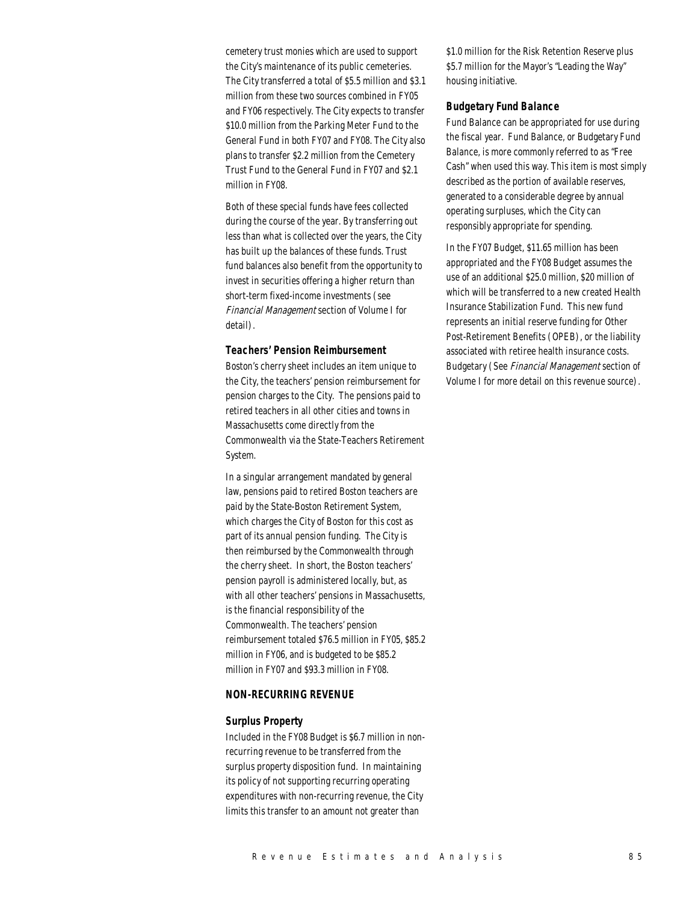cemetery trust monies which are used to support the City's maintenance of its public cemeteries. The City transferred a total of \$5.5 million and \$3.1 million from these two sources combined in FY05 and FY06 respectively. The City expects to transfer \$10.0 million from the Parking Meter Fund to the General Fund in both FY07 and FY08. The City also plans to transfer \$2.2 million from the Cemetery Trust Fund to the General Fund in FY07 and \$2.1 million in FY08.

Both of these special funds have fees collected during the course of the year. By transferring out less than what is collected over the years, the City has built up the balances of these funds. Trust fund balances also benefit from the opportunity to invest in securities offering a higher return than short-term fixed-income investments (see Financial Management section of Volume I for detail).

#### *Teachers' Pension Reimbursement*

Boston's cherry sheet includes an item unique to the City, the teachers' pension reimbursement for pension charges to the City. The pensions paid to retired teachers in all other cities and towns in Massachusetts come directly from the Commonwealth via the State-Teachers Retirement System.

In a singular arrangement mandated by general law, pensions paid to retired Boston teachers are paid by the State-Boston Retirement System, which charges the City of Boston for this cost as part of its annual pension funding. The City is then reimbursed by the Commonwealth through the cherry sheet. In short, the Boston teachers' pension payroll is administered locally, but, as with all other teachers' pensions in Massachusetts, is the financial responsibility of the Commonwealth. The teachers' pension reimbursement totaled \$76.5 million in FY05, \$85.2 million in FY06, and is budgeted to be \$85.2 million in FY07 and \$93.3 million in FY08.

# *NON-RECURRING REVENUE*

#### *Surplus Property*

Included in the FY08 Budget is \$6.7 million in nonrecurring revenue to be transferred from the surplus property disposition fund. In maintaining its policy of not supporting recurring operating expenditures with non-recurring revenue, the City limits this transfer to an amount not greater than

\$1.0 million for the Risk Retention Reserve plus \$5.7 million for the Mayor's "Leading the Way" housing initiative.

#### *Budgetary Fund Balance*

Fund Balance can be appropriated for use during the fiscal year. Fund Balance, or Budgetary Fund Balance, is more commonly referred to as "Free Cash" when used this way. This item is most simply described as the portion of available reserves, generated to a considerable degree by annual operating surpluses, which the City can responsibly appropriate for spending.

In the FY07 Budget, \$11.65 million has been appropriated and the FY08 Budget assumes the use of an additional \$25.0 million, \$20 million of which will be transferred to a new created Health Insurance Stabilization Fund. This new fund represents an initial reserve funding for Other Post-Retirement Benefits (OPEB), or the liability associated with retiree health insurance costs. Budgetary (See Financial Management section of Volume I for more detail on this revenue source).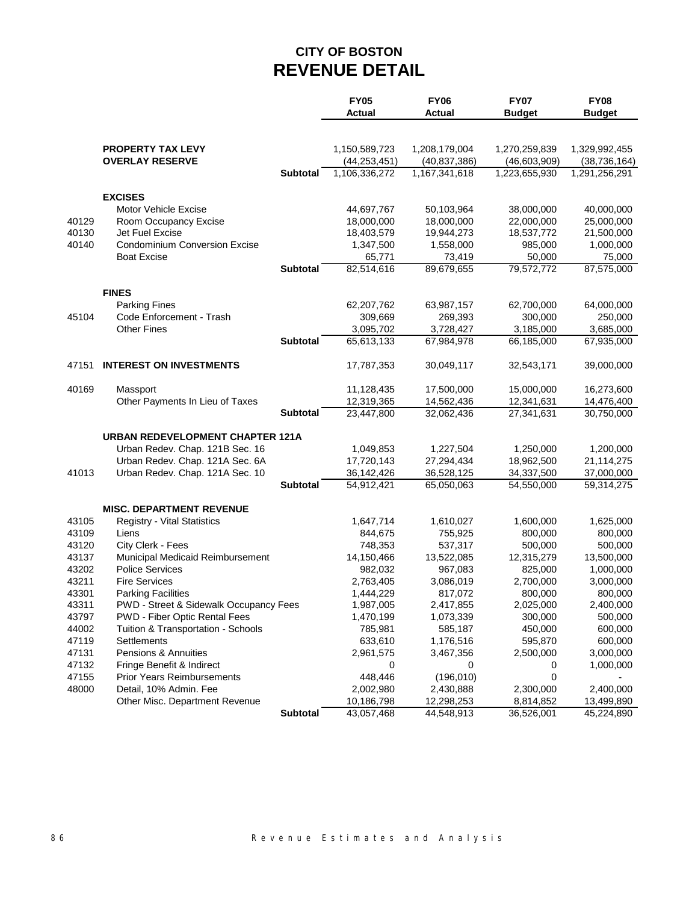# **CITY OF BOSTON REVENUE DETAIL**

|                |                                                                       |                 | <b>FY05</b>          | <b>FY06</b>          | <b>FY07</b>          | <b>FY08</b>          |
|----------------|-----------------------------------------------------------------------|-----------------|----------------------|----------------------|----------------------|----------------------|
|                |                                                                       |                 | <b>Actual</b>        | <b>Actual</b>        | <b>Budget</b>        | <b>Budget</b>        |
|                |                                                                       |                 |                      |                      |                      |                      |
|                | <b>PROPERTY TAX LEVY</b>                                              |                 | 1,150,589,723        | 1,208,179,004        | 1,270,259,839        | 1,329,992,455        |
|                | <b>OVERLAY RESERVE</b>                                                |                 | (44, 253, 451)       | (40, 837, 386)       | (46, 603, 909)       | (38, 736, 164)       |
|                |                                                                       | <b>Subtotal</b> | 1,106,336,272        | 1,167,341,618        | 1,223,655,930        | 1,291,256,291        |
|                |                                                                       |                 |                      |                      |                      |                      |
|                | <b>EXCISES</b>                                                        |                 |                      |                      |                      |                      |
|                | <b>Motor Vehicle Excise</b>                                           |                 | 44,697,767           | 50,103,964           | 38,000,000           | 40,000,000           |
| 40129          | Room Occupancy Excise                                                 |                 | 18,000,000           | 18,000,000           | 22,000,000           | 25,000,000           |
| 40130<br>40140 | Jet Fuel Excise                                                       |                 | 18,403,579           | 19,944,273           | 18,537,772           | 21,500,000           |
|                | <b>Condominium Conversion Excise</b>                                  |                 | 1,347,500            | 1,558,000            | 985,000              | 1,000,000            |
|                | <b>Boat Excise</b>                                                    | <b>Subtotal</b> | 65,771<br>82,514,616 | 73,419<br>89,679,655 | 50,000<br>79,572,772 | 75,000<br>87,575,000 |
|                |                                                                       |                 |                      |                      |                      |                      |
|                | <b>FINES</b>                                                          |                 |                      |                      |                      |                      |
|                | <b>Parking Fines</b>                                                  |                 | 62,207,762           | 63,987,157           | 62,700,000           | 64,000,000           |
| 45104          | Code Enforcement - Trash                                              |                 | 309,669              | 269,393              | 300,000              | 250,000              |
|                | <b>Other Fines</b>                                                    |                 | 3,095,702            | 3,728,427            | 3,185,000            | 3,685,000            |
|                |                                                                       | <b>Subtotal</b> | 65,613,133           | 67,984,978           | 66,185,000           | 67,935,000           |
| 47151          | <b>INTEREST ON INVESTMENTS</b>                                        |                 | 17,787,353           | 30,049,117           | 32,543,171           | 39,000,000           |
|                |                                                                       |                 |                      |                      |                      |                      |
| 40169          | Massport                                                              |                 | 11,128,435           | 17,500,000           | 15,000,000           | 16,273,600           |
|                | Other Payments In Lieu of Taxes                                       |                 | 12,319,365           | 14,562,436           | 12,341,631           | 14,476,400           |
|                |                                                                       | <b>Subtotal</b> | 23,447,800           | 32,062,436           | 27,341,631           | 30,750,000           |
|                | URBAN REDEVELOPMENT CHAPTER 121A                                      |                 |                      |                      |                      |                      |
|                | Urban Redev. Chap. 121B Sec. 16                                       |                 | 1,049,853            | 1,227,504            | 1,250,000            | 1,200,000            |
|                | Urban Redev. Chap. 121A Sec. 6A                                       |                 | 17,720,143           | 27,294,434           | 18,962,500           | 21,114,275           |
| 41013          | Urban Redev. Chap. 121A Sec. 10                                       |                 | 36, 142, 426         | 36,528,125           | 34,337,500           | 37,000,000           |
|                |                                                                       | <b>Subtotal</b> | 54,912,421           | 65,050,063           | 54,550,000           | 59,314,275           |
|                |                                                                       |                 |                      |                      |                      |                      |
| 43105          | <b>MISC. DEPARTMENT REVENUE</b><br><b>Registry - Vital Statistics</b> |                 | 1,647,714            | 1,610,027            | 1,600,000            | 1,625,000            |
| 43109          | Liens                                                                 |                 | 844,675              | 755,925              | 800,000              | 800,000              |
| 43120          | City Clerk - Fees                                                     |                 | 748,353              | 537,317              | 500,000              | 500,000              |
| 43137          | Municipal Medicaid Reimbursement                                      |                 | 14,150,466           | 13,522,085           | 12,315,279           | 13,500,000           |
| 43202          | <b>Police Services</b>                                                |                 | 982,032              | 967,083              | 825,000              | 1,000,000            |
| 43211          | <b>Fire Services</b>                                                  |                 | 2,763,405            | 3,086,019            | 2,700,000            | 3,000,000            |
| 43301          | <b>Parking Facilities</b>                                             |                 | 1,444,229            | 817,072              | 800,000              | 800,000              |
| 43311          | PWD - Street & Sidewalk Occupancy Fees                                |                 | 1,987,005            | 2,417,855            | 2,025,000            | 2,400,000            |
| 43797          | PWD - Fiber Optic Rental Fees                                         |                 | 1,470,199            | 1,073,339            | 300,000              | 500,000              |
| 44002          | Tuition & Transportation - Schools                                    |                 | 785,981              | 585,187              | 450,000              | 600,000              |
| 47119          | Settlements                                                           |                 | 633,610              | 1,176,516            | 595,870              | 600,000              |
| 47131          | Pensions & Annuities                                                  |                 | 2,961,575            | 3,467,356            | 2,500,000            | 3,000,000            |
| 47132          | Fringe Benefit & Indirect                                             |                 | 0                    | 0                    | 0                    | 1,000,000            |
| 47155          | <b>Prior Years Reimbursements</b>                                     |                 | 448,446              | (196, 010)           | 0                    |                      |
| 48000          | Detail, 10% Admin. Fee                                                |                 | 2,002,980            | 2,430,888            | 2,300,000            | 2,400,000            |
|                | Other Misc. Department Revenue                                        |                 | 10,186,798           | 12,298,253           | 8,814,852            | 13,499,890           |
|                |                                                                       | <b>Subtotal</b> | 43,057,468           | 44,548,913           | 36,526,001           | 45,224,890           |